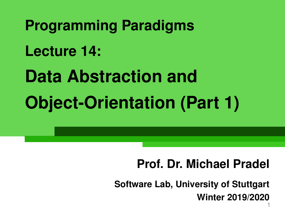**Programming Paradigms Lecture 14: Data Abstraction and Object-Orientation (Part 1)**

# **Prof. Dr. Michael Pradel**

1 **Software Lab, University of Stuttgart Winter 2019/2020**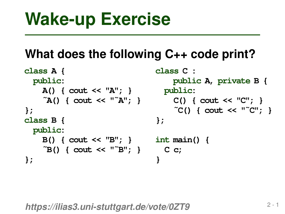```
Wake-up Exercise<br>
What does the following C++ code print?<br>
class A {<br>
class A {<br>
public:<br>
A() { cout << "A"; }<br>
public:<br>
(2) { cout << "a"; }<br>
(2) { cout << "a"; }<br>
(2) { cout << "C"; }<br>
};<br>
class B {<br>
public:<br>
B() { co
class A {
   public:
      A() { cout << "A"; }
      ˜A() { cout << "˜A"; }
};
class B {
   public:
      B() { cout << "B"; }
      ˜B() { cout << "˜B"; }
};
                                                  class C :
                                                         public A, private B {
                                                    public:
                                                         C() { cout << "C"; }
                                                         ˜C() { cout << "˜C"; }
                                                  };
                                                  int main() {
                                                     C c;
                                                  }
```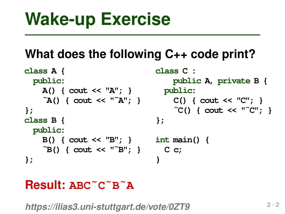```
Wake-up Exercise<br>
What does the following C++ code print?<br>
class A {<br>
class A {<br>
public:<br>
A() { cout << "A"; }<br>
public:<br>
(2) { cout << "a"; }<br>
(2) { cout << "a"; }<br>
(2) { cout << "C"; }<br>
};<br>
class B {<br>
public:<br>
B() { co
class A {
   public:
      A() { cout << "A"; }
      ˜A() { cout << "˜A"; }
};
class B {
   public:
      B() { cout << "B"; }
      ˜B() { cout << "˜B"; }
};
                                                  class C :
                                                        public A, private B {
                                                     public:
                                                         C() { cout << "C"; }
                                                         ˜C() { cout << "˜C"; }
                                                  };
                                                  int main() {
                                                     C c;
                                                  }
```
# **Result: ABC˜C˜B˜A**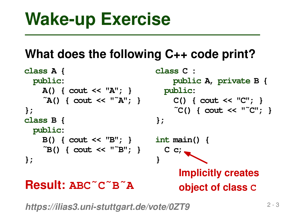```
Wake-up Exercise<br>
What does the following C++ code print?<br>
class A {<br>
class A {<br>
public:<br>
A() { cout << "A"; }<br>
public:<br>
(2) { cout << "a"; }<br>
(2) { cout << "a"; }<br>
(2) { cout << "c"; }<br>
};<br>
class B {<br>
public:<br>
B() { co
class A {
  public:
      A() { cout << "A"; }
      ˜A() { cout << "˜A"; }
};
class B {
  public:
      B() { cout << "B"; }
      ˜B() { cout << "˜B"; }
};
                                              class C :
                                                    public A, private B {
                                                 public:
                                                    C() { cout << "C"; }
                                                    ˜C() { cout << "˜C"; }
                                              };
                                              int main() {
                                                 C c;
                                              }
Result: ABC˜C˜B˜A
                                                      Implicitly creates
                                                      object of class C
```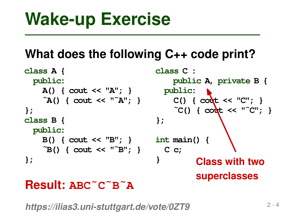

## **Result: ABC˜C˜B˜A**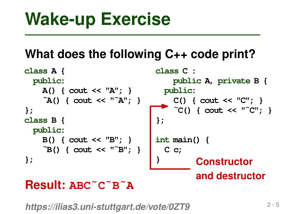

## **Result: ABC˜C˜B˜A**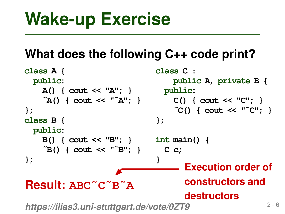```
Wake-up Exercise<br>
What does the following C++ code print?<br>
class A {<br>
class A {<br>
public:<br>
A() { cout << "A"; }<br>
public:<br>
(2) { cout << "a"; }<br>
(2) { cout << "a"; }<br>
(2) { cout << "c"; }<br>
};<br>
class B {<br>
public:<br>
B() { co
class A {
  public:
     A() { cout << "A"; }
     ˜A() { cout << "˜A"; }
};
class B {
  public:
      B() { cout << "B"; }
      ˜B() { cout << "˜B"; }
};
https://ilias3.uni-stuttgart.de/vote/0ZT9
                                            class C :
                                                  public A, private B {
                                               public:
                                                  C() { cout << "C"; }
                                                   ˜C() { cout << "˜C"; }
                                             };
                                             int main() {
                                               C c;
                                             }
Result: ABC˜C˜B˜A
                                                      Execution order of
                                                      constructors and
                                                      destructors
```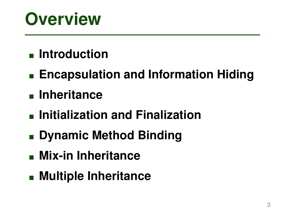# **Overview**

# **Introduction**

- **Encapsulation and Information Hiding**
- **Inheritance**
- **Initialization and Finalization**
- **Dynamic Method Binding**
- **Mix-in Inheritance**
- **Multiple Inheritance**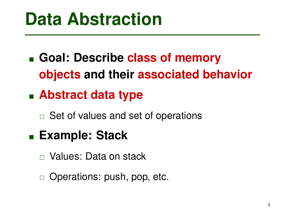# **Data Abstraction**

- **Goal: Describe class of memory objects and their associated behavior**
- **Abstract data type**
	- $\Box$  Set of values and set of operations
- **Example: Stack**
	- Values: Data on stack
	- $\Box$  Operations: push, pop, etc.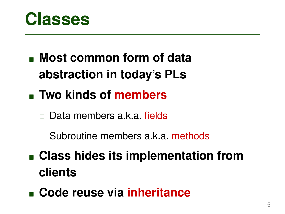

- **Most common form of data abstraction in today's PLs**
- **Two kinds of members**
	- Data members a.k.a. fields
	- □ Subroutine members a.k.a. methods
- **Class hides its implementation from clients**
- **Code reuse via inheritance**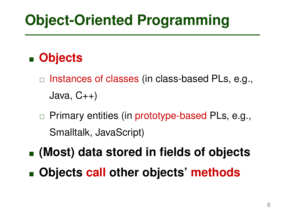# **Object-Oriented Programming**

# **Objects**

- $\Box$  Instances of classes (in class-based PLs, e.g., Java, C++)
- $\Box$  Primary entities (in prototype-based PLs, e.g., Smalltalk, JavaScript)
- **(Most) data stored in fields of objects**
- **Objects call other objects' methods**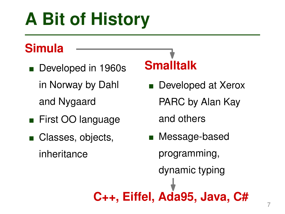# **A Bit of History**

# **Simula**

- Developed in 1960s in Norway by Dahl and Nygaard
- **First OO language**
- Classes, objects, inheritance

# **Smalltalk**

Developed at Xerox PARC by Alan Kay

and others

■ Message-based programming, dynamic typing **C++, Eiffel, Ada95, Java, C#**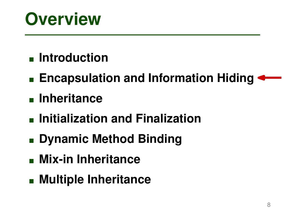# **Overview**

# **Introduction**

- **Encapsulation and Information Hiding**
- **Inheritance**
- **Initialization and Finalization**
- **Dynamic Method Binding**
- **Mix-in Inheritance**
- **Multiple Inheritance**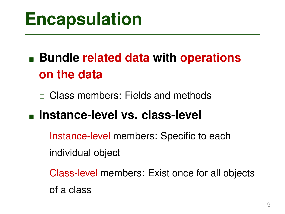# **Encapsulation**

# **Bundle related data with operations on the data**

□ Class members: Fields and methods

# **Instance-level vs. class-level**

- □ Instance-level members: Specific to each individual object
- □ Class-level members: Exist once for all objects of a class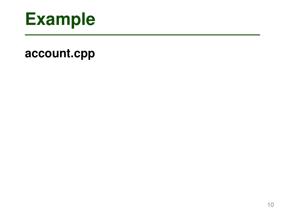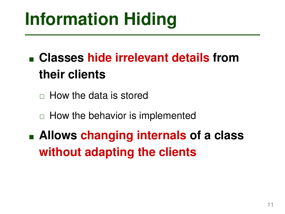# **Classes hide irrelevant details from their clients**

 $\Box$  How the data is stored

 $\Box$  How the behavior is implemented

**Information Hiding**<br> **Example 15 and 16 and 16 and 16 and 16 and 16 and 16 and 16 and 16 and 16 and 16 and 16 and 16 and 16 and 16 and 16 and 16 and 16 and 16 and 11 Allows changing internals of a class without adapting the clients**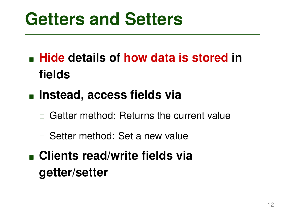- **Getters and Setters**<br> **Exercise 12 Fidds**<br> **Exerce in fields**<br> **Exerce in Setar method: Returns the current value**<br> **Exerce method: Set a new value**<br> **Exerce method: Set a new value**<br> **Exerce method: Set a new value**<br> **Ex Hide details of how data is stored in fields**
- **Instead, access fields via**
	- Getter method: Returns the current value
	- Setter method: Set a new value
- **Clients read/write fields via getter/setter**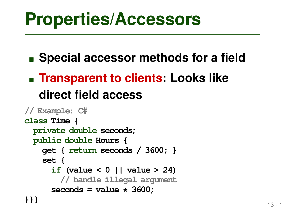- **Special accessor methods for a field**
- **Figure 1 In 2018 19 Transparent to clients: Looks like direct field access**

```
Properties/Accessors<br>
Expecial accessor methods for a field<br>
Expected field access<br>
<br>
Example: Chinal access<br>
<br>
<br>
Example: Chinal access<br>
<br>
<br>
Private double seconds;<br>
<br>
private double seconds;<br>
<br>
public double 
// Example: C#
class Time {
   private double seconds;
   public double Hours {
       get { return seconds / 3600; }
       set {
           if (value < 0 || value > 24)
              // handle illegal argument
           seconds = value * 3600;
}}}
```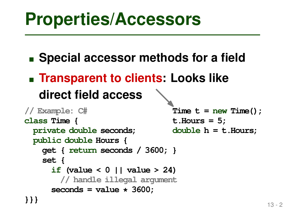**Special accessor methods for a field** 

**Figure 1 In 2018 19 Transparent to clients: Looks like direct field access**

```
13 - 2 Properties/Accessors
// Example: C#
class Time {
 private double seconds;
 public double Hours {
   get { return seconds / 3600; }
   set {
     if (value < 0 || value > 24)
       // handle illegal argument
     seconds = value * 3600;
}}}
                              Time t = new Time();
                              t.Hours = 5;
                              double h = t.Hours;
```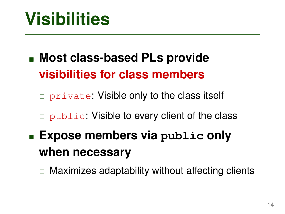**Most class-based PLs provide visibilities for class members**

private: Visible only to the class itself

□ public: Visible to every client of the class

**14 Inter-Section Science Science Science Science Science Science Science Science Science Science Science Science Science Science Science Science Science Science Science Science Science Science Science Science Science Scie Expose members via public only when necessary**

 $\Box$  Maximizes adaptability without affecting clients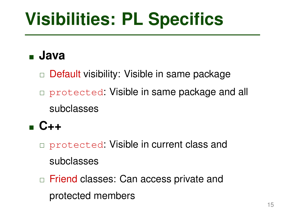## **Java**

- □ Default visibility: Visible in same package
- **15 IDS INTERT SPECIFICS**<br>
1 Java<br>
1 Default visibility: Visible in same package<br>
1 protected: Visible in same package and all<br>
1 subclasses<br>
1 C++<br>
1 protected: Visible in current class and<br>
1 subclasses<br>
1 Friend classes protected: Visible in same package and all subclasses

# **C++**

- protected: Visible in current class and subclasses
- □ Friend classes: Can access private and protected members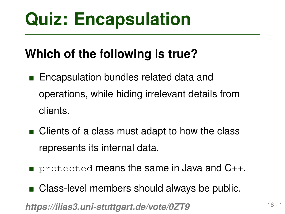# **Which of the following is true?**

- **Quiz: Encapsulation**<br>
Which of the following is true?<br>
Encapsulation bundles related data and<br>
operations, while hiding irrelevant details from<br>
clients.<br>
Clients of a class must adapt to how the class<br>
represents its int **Encapsulation bundles related data and** operations, while hiding irrelevant details from clients.
- Clients of a class must adapt to how the class represents its internal data.
- **Pediamiry 1** protected means the same in Java and C++.
- Class-level members should always be public.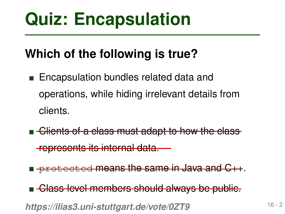# **Which of the following is true?**

- **Quiz: Encapsulation**<br>
Which of the following is true?<br>
Encapsulation bundles related data and<br>
operations, while hiding irrelevant details from<br>
clients.<br>
Following is the base of a class must adapt to how the class<br>
repr **Encapsulation bundles related data and** operations, while hiding irrelevant details from clients.
	- **E** Clients of a class must adapt to how the class

represents its internal data.

**P** protected means the same in Java and C++.

**Glass-level members should always be public.**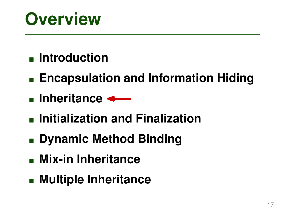# **Introduction**

- <sup>17</sup> **Overview Encapsulation and Information Hiding**
- **Inheritance**
- **Initialization and Finalization**
- **Dynamic Method Binding**
- **Mix-in Inheritance**
- **Multiple Inheritance**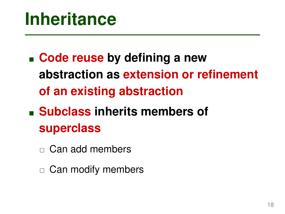- **Inheritance**<br>
 Code reuse by defining a new<br>
abstraction as extension or refinement<br>
of an existing abstraction<br>
 Subclass inherits members of<br>
superclass<br>
□ Can add members<br>
□ Can modify members **Code reuse by defining a new abstraction as extension or refinement of an existing abstraction**
- **Subclass inherits members of superclass**
	- $\Box$  Can add members
	- $\Box$  Can modify members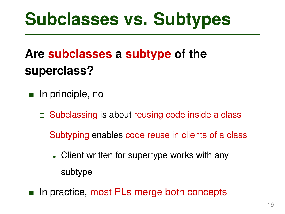# <sup>19</sup> **Subclasses vs. Subtypes Are subclasses a subtype of the superclass?**

- **n** In principle, no
	- $\Box$  Subclassing is about reusing code inside a class
	- $\Box$  Subtyping enables code reuse in clients of a class
		- Client written for supertype works with any subtype
- In practice, most PLs merge both concepts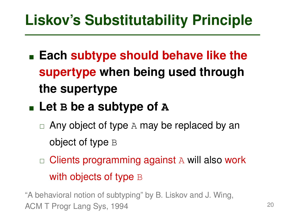<sup>20</sup> **Liskov's Substitutability Principle Each subtype should behave like the supertype when being used through the supertype**

# **Let B be a subtype of A**

- $\Box$  Any object of type A may be replaced by an object of type B
- $\Box$  Clients programming against A will also work with objects of type B

"A behavioral notion of subtyping" by B. Liskov and J. Wing, ACM T Progr Lang Sys, 1994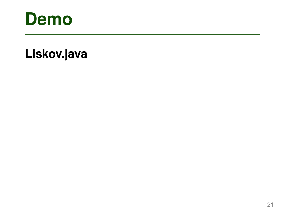

# **Demo**<br>Liskov.java<br>21 **Demo Liskov.java**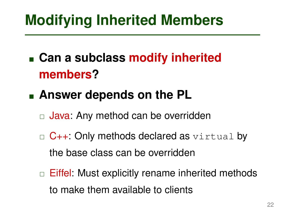**Can a subclass modify inherited members?**

# **Answer depends on the PL**

- $\Box$  Java: Any method can be overridden
- $\Box$  C++: Only methods declared as  $\forall$ irtual by the base class can be overridden
- **Modifying Inherited Members**<br> **Can a subclass modify inherited<br>
members?**<br> **Answer depends on the PL**<br> **C** Java: Any method can be overridden<br> **C** C++: Only methods declared as virtual by<br>
the base class can be overridden  $\Box$  Eiffel: Must explicitly rename inherited methods to make them available to clients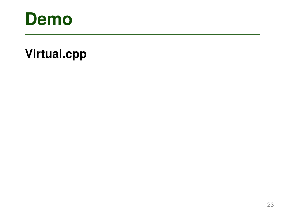

# **Demo**<br>Virtual.cpp<br>23 **Demo Virtual.cpp**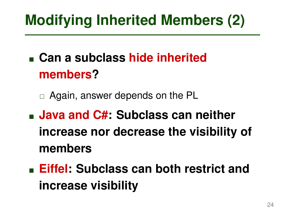- **Can a subclass hide inherited members?**
	- □ Again, answer depends on the PL
- **Modifying Inherited Members (2)**<br>
 Can a subclass hide inherited<br>
members?<br>
 Again, answer depends on the PL<br>
 Java and C#: Subclass can neither<br>
increase nor decrease the visibility of<br>
 Eiffel: Subclass can both re **Java and C#: Subclass can neither increase nor decrease the visibility of members**
- **Eiffel: Subclass can both restrict and increase visibility**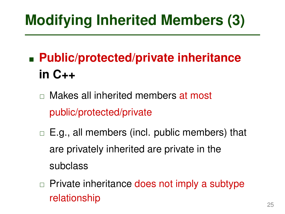# **Public/protected/private inheritance in C++**

- □ Makes all inherited members at most public/protected/private
- **Modifying Inherited Members (3)**<br>
 Public/protected/private inheritance<br>
in C++<br>
□ Makes all inherited members at most<br>
public/protected/private<br>
□ E.g., all members (incl. public members) that<br>
are privately inherited  $\Box$  E.g., all members (incl. public members) that are privately inherited are private in the subclass
	- $\Box$  Private inheritance does not imply a subtype relationship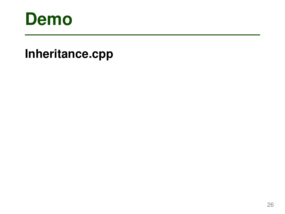

# <sup>26</sup> **Demo Inheritance.cpp**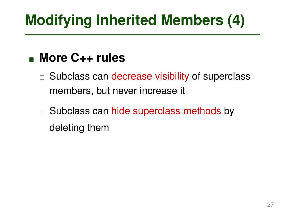# **More C++ rules**

 $\Box$  Subclass can decrease visibility of superclass members, but never increase it

**Modifying Inherited Members (4)**<br>
■ More C++ rules<br>
■ Subclass can decrease visibility of superclass<br>
members, but never increase it<br>
■ Subclass can hide superclass methods by<br>
deleting them<br>
22  $\Box$  Subclass can hide superclass methods by deleting them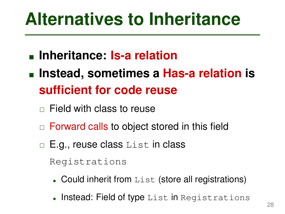- **Inheritance: Is-a relation**
- **Alternatives to Inheritance**<br> **Inheritance: Is-a relation<br>
Instead, sometimes a Has-a relation is<br>
sufficient for code reuse<br>**  $\Box$  **Field with class to reuse<br>**  $\Box$  **Forward calls to object stored in this field<br>**  $\Box$  **E.g., r Instead, sometimes a Has-a relation is sufficient for code reuse**
	- $\Box$  Field with class to reuse
	- □ Forward calls to object stored in this field
	- □ E.g., reuse class List in class

Registrations

- Could inherit from List (store all registrations)
- Instead: Field of type List in Registrations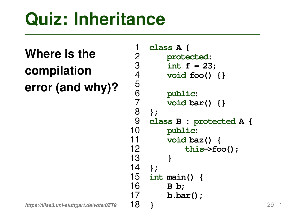# **Where is the compilation**

**error (and why)?**

```
Quiz: Inheritance<br>
Where is the \frac{1}{2} class A {<br>
compilation \frac{3}{4} int f = 23;<br>
woid foo() {}<br>
error (and why)? \frac{5}{6} public:<br>
\frac{7}{7} void bar() {}<br>
\frac{8}{9} class B : protected A {<br>
\frac{9}{7} class B
                                    1 class A {
                                    2 protected:
                                    3 int f = 23;
                                    4 void foo() {}
                                    5
                                    6 public:
                                    7 void bar() {}
                                    8 };
                                         9 class B : protected A {
                                   10 public:
                                   11 void baz() {
                                                     12 this->foo();
                                   13 }
                                   14 };
                                   15 int main() {
                                   16 B b;
                                   17 b.bar();
                                   18 }
```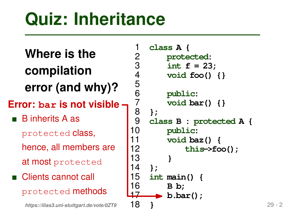5

# **Where is the compilation error (and why)?**

- **Error: bar is not visible**
- B inherits A as
	- protected class,
	- hence, all members are
	- at most protected
- Clients cannot call protected methods

```
Quiz: Inheritance<br>
Where is the \begin{array}{ccc} 1 & \text{class A }\{1 & \text{protected:}\{2\} & \text{protected:}\{3\} & \text{int } f = 23;\{4\} & \text{void } \text{foo() }\{1\} & \text{error (and why)}\}^2 & \text{for: bar is not visible:}\ 3 & \text{inhertis A as} & 7 & \text{void bar() }\{3\} & \text{inhertis A as} & 9 & \text{class B : protected A }\{10 & \text{public:}\{11 & \text{void baz() }\{12 & \text{this-&}\{16\}\}1 class A {
                                                    2 protected:
                                                    3 int f = 23;
                                                    4 void foo() {}
                                                    6 public:
                                                    7 void bar() {}
                                                    8 };
                                                           9 class B : protected A {
                                                  10 public:
                                                  11 void baz() {
                                                                            12 this->foo();
                                                  13 }
                                                  14 };
                                                  15 int main() {
                                                  16 B b;
                                                  17 b.bar();
                                                  18 }
```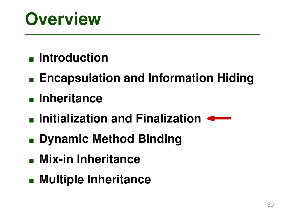- **Introduction**
- **Solution**<br>
 Introduction<br>
 Encapsulation and Information Hiding<br>
 Inheritance<br>
 Initialization and Finalization<br>
 Dynamic Method Binding<br>
 Mix-in Inheritance<br>
 Multiple Inheritance **Encapsulation and Information Hiding**
- **Inheritance**
- **Initialization and Finalization**
- **Dynamic Method Binding**
- **Mix-in Inheritance**
- **Multiple Inheritance**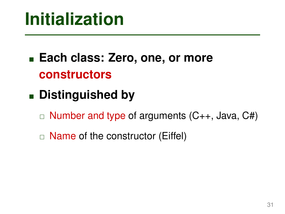- **Initialization**<br> **Each class: Zero, one, or more<br>
<b>constructors**<br> **Distinguished by**<br> **Example 2** of arguments (C++, Java, C#)<br> **Example 1** Name of the constructor (Eiffel) **Each class: Zero, one, or more constructors**
- **Distinguished by**
	- $\Box$  Number and type of arguments  $(C_{++},$  Java,  $C_{++}$ )
	- $\Box$  Name of the constructor (Eiffel)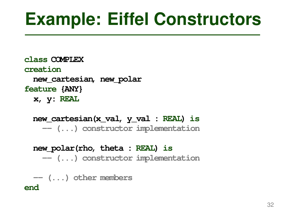**Example: Eiffel Constructors**<br>
class COMPLEX<br>
creation<br>
rew\_cartesian, new\_polar<br>
feature (ANY)<br>
x, y: REAL<br>
new\_cartesian(x\_val, y\_val : REAL) is<br>
— (...) constructor implementation<br>
new\_polar(rho, theta : REAL) is<br>
— (. **class COMPLEX creation new\_cartesian, new\_polar feature {ANY} x, y: REAL**

**new\_cartesian(x\_val, y\_val : REAL) is -- (...) constructor implementation**

**new\_polar(rho, theta : REAL) is -- (...) constructor implementation**

**-- (...) other members end**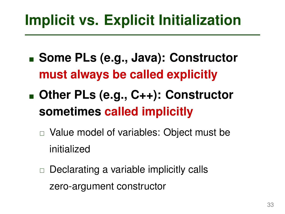- **Some PLs (e.g., Java): Constructor must always be called explicitly**
- **Implicit vs. Explicit Initialization**<br>
Some PLs (e.g., Java): Constructor<br>
must always be called explicitly<br>
Due PLs (e.g., C++): Constructor<br>
sometimes called implicitly<br>
m Value model of variables: Object must be<br>
initi **Other PLs (e.g., C++): Constructor sometimes called implicitly**
	- □ Value model of variables: Object must be initialized
	- $\Box$  Declarating a variable implicitly calls zero-argument constructor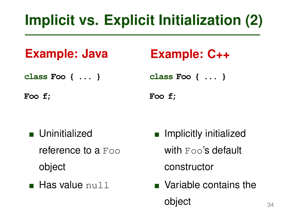```
class Foo { ... }
```
**Foo f;**

# **Example: C++**

**class Foo { ... }**

**Foo f;**

- **u** Uninitialized reference to a Foo object
- **Has value null**
- **Implicit vs. Explicit Initialization (2)**<br> **Example: Java** Example: C++<br>
class Foo { ... }<br>
Foo f;<br> **EXAMPLE: C++**<br>
Foo f;<br>
Foo f;<br>
Foo f;<br> **EXAMPLE:** Foo { ... }<br>
Foo f;<br> **EXAMPLE:** Foo { ... }<br> **EXAMPLE:** Foo { ... }<br> **Implicitly initialized** with Foo's default constructor
	- Variable contains the object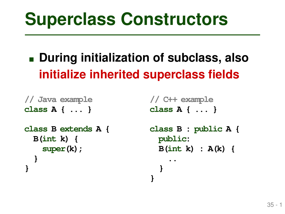# **During initialization of subclass, also initialize inherited superclass fields**

**}**

```
35 - 1 Superclass Constructors
// Java example
class A { ... }
class B extends A {
 B(int k) {
   super(k);
 }
}
```
**// C++ example class A { ... }**

```
class B : public A {
  public:
  B(int k) : A(k) {
    ..
  }
```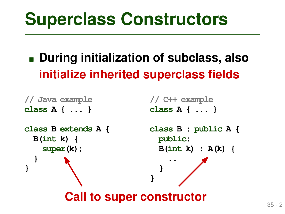# **During initialization of subclass, also initialize inherited superclass fields**

```
35 - 2 Superclass Constructors
// Java example
class A { ... }
class B extends A {
 B(int k) {
   super(k);
  }
}
                         // C++ example
                         class A { ... }
                         class B : public A {
                           public:
                           B(int k) : A(k) {
                             ..
                           }
                         }
        Call to super constructor
```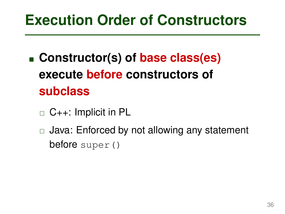- **Execution Order of Constructors**<br> **Execution Constructor (s) of base class(es)**<br> **execute before constructors of<br>
subclass**<br>  $\Box$  C++: Implicit in PL<br>  $\Box$  Java: Enforced by not allowing any statement<br>
before super () **Constructor(s) of base class(es) execute before constructors of subclass**
	- $\Box$  C++: Implicit in PL
	- □ Java: Enforced by not allowing any statement before super()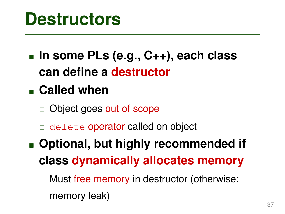**Destructors**<br>
■ In some PLs (e.g., C++), each class<br>
can define a destructor<br>
■ Called when<br>
■ Object goes out of scope<br>
■ delete operator called on object<br>
■ Optional, but highly recommended if<br>
class dynamically alloca **In some PLs (e.g., C++), each class can define a destructor**

# **Called when**

- □ Object goes out of scope
- delete operator called on object
- **Optional, but highly recommended if class dynamically allocates memory**
	- □ Must free memory in destructor (otherwise: memory leak)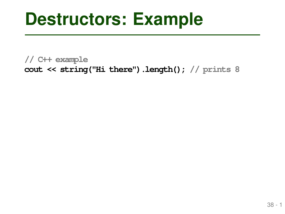**Destructors: Example**<br>
// C++ example<br>
cout << string("Hi there") .length() ; // prints 8<br>
as -1 **// C++ example cout << string("Hi there").length(); // prints 8**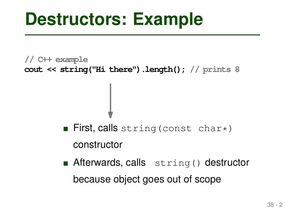**// C++ example cout << string("Hi there").length(); // prints 8**

- First, calls string (const char\*) constructor
- 38 2 **Destructors: Example Afterwards, calls** string() destructor because object goes out of scope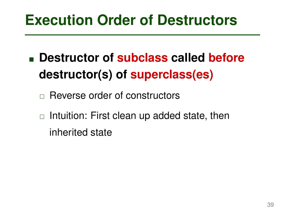- **Execution Order of Destructors**<br>
 Destructor of subclass called before<br>
destructor(s) of superclass(es)<br>
 Reverse order of constructors<br>
 Intuition: First clean up added state, then<br>
inherited state **Destructor of subclass called before destructor(s) of superclass(es)**
	- □ Reverse order of constructors
	- $\Box$  Intuition: First clean up added state, then inherited state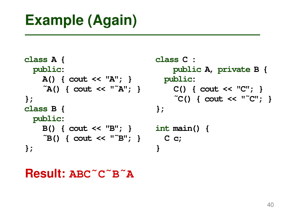```
Example (Again)<br>
class A {<br>
class C :<br>
public:<br>
A( { cout << "A"; }<br>
public:<br>
^A( { cout << "^A"; }<br>
public:<br>
^C( { cout << "C"; }<br>
};<br>
class B {<br>
};<br>
public:<br>
B( { cout << "B"; }<br>
;<br>
int main() {<br>
^E() { cout << "^C"; 
class A {
   public:
      A() { cout << "A"; }
      ˜A() { cout << "˜A"; }
};
class B {
   public:
      B() { cout << "B"; }
       ˜B() { cout << "˜B"; }
};
                                                   class C :
                                                          public A, private B {
                                                     public:
                                                          C() { cout << "C"; }
                                                          ˜C() { cout << "˜C"; }
                                                   };
                                                   int main() {
                                                      C c;
                                                    }
```
**Result: ABC˜C˜B˜A**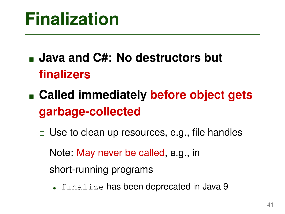# **Java and C#: No destructors but finalizers**

# **Finalization**<br>
■ **Java and C#: No destructors but<br>
finalizers**<br>
■ **Called immediately before object gets**<br> **garbage-collected**<br>
□ Use to clean up resources, e.g., file handles<br>
□ Note: May never be called, e.g., in<br>
shor **Called immediately before object gets garbage-collected**

- $\Box$  Use to clean up resources, e.g., file handles
- □ Note: May never be called, e.g., in
	- short-running programs
		- finalize has been deprecated in Java 9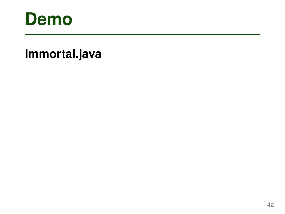

# <sup>42</sup> **Demo Immortal.java**